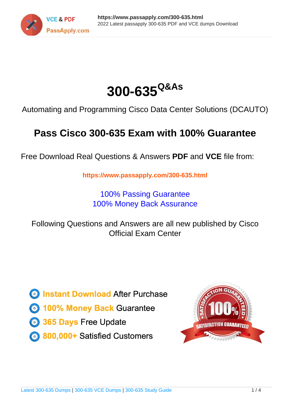



Automating and Programming Cisco Data Center Solutions (DCAUTO)

## **Pass Cisco 300-635 Exam with 100% Guarantee**

Free Download Real Questions & Answers **PDF** and **VCE** file from:

**https://www.passapply.com/300-635.html**

100% Passing Guarantee 100% Money Back Assurance

Following Questions and Answers are all new published by Cisco Official Exam Center

**C** Instant Download After Purchase **83 100% Money Back Guarantee** 

- 365 Days Free Update
- 800,000+ Satisfied Customers

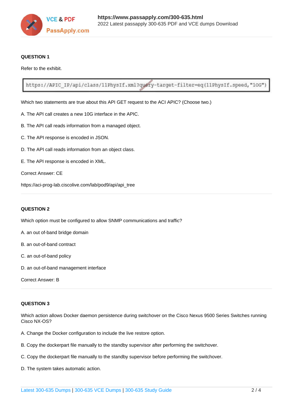

### **QUESTION 1**

Refer to the exhibit.

https://APIC IP/api/class/11PhysIf.xml?query-target-filter=eq(11PhysIf.speed,"10G")

Which two statements are true about this API GET request to the ACI APIC? (Choose two.)

- A. The API call creates a new 10G interface in the APIC.
- B. The API call reads information from a managed object.
- C. The API response is encoded in JSON.
- D. The API call reads information from an object class.
- E. The API response is encoded in XML.
- Correct Answer: CE

https://aci-prog-lab.ciscolive.com/lab/pod9/api/api\_tree

### **QUESTION 2**

Which option must be configured to allow SNMP communications and traffic?

- A. an out of-band bridge domain
- B. an out-of-band contract
- C. an out-of-band policy
- D. an out-of-band management interface
- Correct Answer: B

### **QUESTION 3**

Which action allows Docker daemon persistence during switchover on the Cisco Nexus 9500 Series Switches running Cisco NX-OS?

- A. Change the Docker configuration to include the live restore option.
- B. Copy the dockerpart file manually to the standby supervisor after performing the switchover.
- C. Copy the dockerpart file manually to the standby supervisor before performing the switchover.
- D. The system takes automatic action.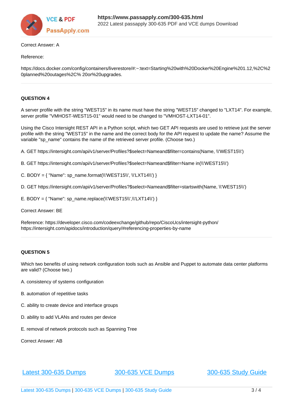

### Correct Answer: A

### Reference:

https://docs.docker.com/config/containers/liverestore/#:~:text=Starting%20with%20Docker%20Engine%201.12,%2C%2 0planned%20outages%2C% 20or%20upgrades.

### **QUESTION 4**

A server profile with the string "WEST15" in its name must have the string "WEST15" changed to "LXT14". For example, server profile "VMHOST-WEST15-01" would need to be changed to "VMHOST-LXT14-01".

Using the Cisco Intersight REST API in a Python script, which two GET API requests are used to retrieve just the server profile with the string "WEST15" in the name and the correct body for the API request to update the name? Assume the variable "sp\_name" contains the name of the retrieved server profile. (Choose two.)

A. GET https://intersight.com/api/v1/server/Profiles?\$select=Nameand\$filter=contains(Name, \\'WEST15\\')

- B. GET https://intersight.com/api/v1/server/Profiles?\$select=Nameand\$filter=Name in(\\'WEST15\\')
- C. BODY =  $\{$  "Name": sp\_name.format(\\'WEST15\\', \\'LXT14\\') }
- D. GET https://intersight.com/api/v1/server/Profiles?\$select=Nameand\$filter=startswith(Name, \\'WEST15\\')
- E. BODY = { "Name": sp\_name.replace(\\'WEST15\\',\\'LXT14\\') }

Correct Answer: BE

Reference: https://developer.cisco.com/codeexchange/github/repo/CiscoUcs/intersight-python/ https://intersight.com/apidocs/introduction/query/#referencing-properties-by-name

### **QUESTION 5**

Which two benefits of using network configuration tools such as Ansible and Puppet to automate data center platforms are valid? (Choose two.)

- A. consistency of systems configuration
- B. automation of repetitive tasks
- C. ability to create device and interface groups
- D. ability to add VLANs and routes per device
- E. removal of network protocols such as Spanning Tree

Correct Answer: AB

[Latest 300-635 Dumps](https://www.passapply.com/300-635.html) [300-635 VCE Dumps](https://www.passapply.com/300-635.html) [300-635 Study Guide](https://www.passapply.com/300-635.html)